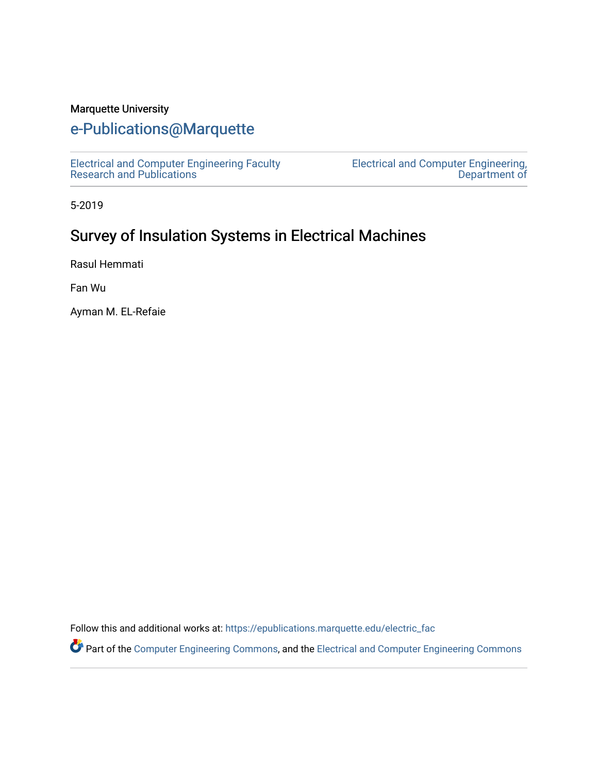## Marquette University

# [e-Publications@Marquette](https://epublications.marquette.edu/)

[Electrical and Computer Engineering Faculty](https://epublications.marquette.edu/electric_fac) [Research and Publications](https://epublications.marquette.edu/electric_fac) 

[Electrical and Computer Engineering,](https://epublications.marquette.edu/electric)  [Department of](https://epublications.marquette.edu/electric) 

5-2019

# Survey of Insulation Systems in Electrical Machines

Rasul Hemmati

Fan Wu

Ayman M. EL-Refaie

Follow this and additional works at: [https://epublications.marquette.edu/electric\\_fac](https://epublications.marquette.edu/electric_fac?utm_source=epublications.marquette.edu%2Felectric_fac%2F537&utm_medium=PDF&utm_campaign=PDFCoverPages) 

Part of the [Computer Engineering Commons,](http://network.bepress.com/hgg/discipline/258?utm_source=epublications.marquette.edu%2Felectric_fac%2F537&utm_medium=PDF&utm_campaign=PDFCoverPages) and the [Electrical and Computer Engineering Commons](http://network.bepress.com/hgg/discipline/266?utm_source=epublications.marquette.edu%2Felectric_fac%2F537&utm_medium=PDF&utm_campaign=PDFCoverPages)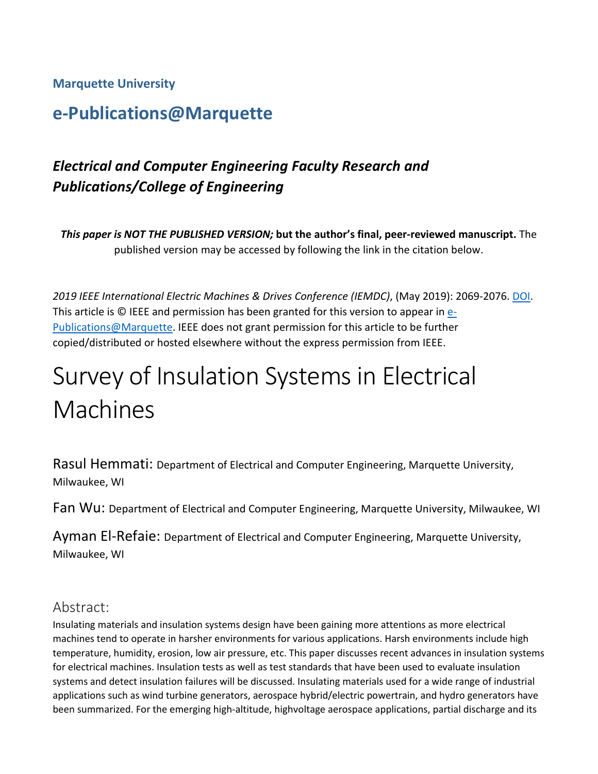## **Marquette University**

# **e-Publications@Marquette**

# *Electrical and Computer Engineering Faculty Research and Publications/College of Engineering*

*This paper is NOT THE PUBLISHED VERSION;* **but the author's final, peer-reviewed manuscript.** The published version may be accessed by following the link in the citation below.

*2019 IEEE International Electric Machines & Drives Conference (IEMDC)*, (May 2019): 2069-2076[. DOI.](https://ieeexplore.ieee.org/document/8785099) This article is © IEEE and permission has been granted for this version to appear in [e-](http://epublications.marquette.edu/)[Publications@Marquette.](http://epublications.marquette.edu/) IEEE does not grant permission for this article to be further copied/distributed or hosted elsewhere without the express permission from IEEE.

# Survey of Insulation Systems in Electrical Machines

Rasul Hemmati: Department of Electrical and Computer Engineering, Marquette University, Milwaukee, WI

Fan Wu: Department of Electrical and Computer Engineering, Marquette University, Milwaukee, WI

Ayman El-Refaie: Department of Electrical and Computer Engineering, Marquette University, Milwaukee, WI

## Abstract:

Insulating materials and insulation systems design have been gaining more attentions as more electrical machines tend to operate in harsher environments for various applications. Harsh environments include high temperature, humidity, erosion, low air pressure, etc. This paper discusses recent advances in insulation systems for electrical machines. Insulation tests as well as test standards that have been used to evaluate insulation systems and detect insulation failures will be discussed. Insulating materials used for a wide range of industrial applications such as wind turbine generators, aerospace hybrid/electric powertrain, and hydro generators have been summarized. For the emerging high-altitude, highvoltage aerospace applications, partial discharge and its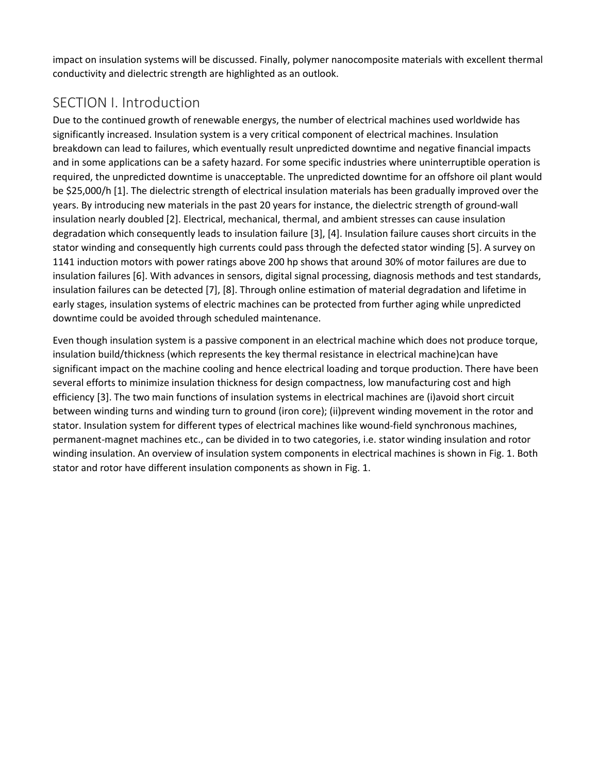impact on insulation systems will be discussed. Finally, polymer nanocomposite materials with excellent thermal conductivity and dielectric strength are highlighted as an outlook.

# SECTION I. Introduction

Due to the continued growth of renewable energys, the number of electrical machines used worldwide has significantly increased. Insulation system is a very critical component of electrical machines. Insulation breakdown can lead to failures, which eventually result unpredicted downtime and negative financial impacts and in some applications can be a safety hazard. For some specific industries where uninterruptible operation is required, the unpredicted downtime is unacceptable. The unpredicted downtime for an offshore oil plant would be \$25,000/h [1]. The dielectric strength of electrical insulation materials has been gradually improved over the years. By introducing new materials in the past 20 years for instance, the dielectric strength of ground-wall insulation nearly doubled [2]. Electrical, mechanical, thermal, and ambient stresses can cause insulation degradation which consequently leads to insulation failure [3], [4]. Insulation failure causes short circuits in the stator winding and consequently high currents could pass through the defected stator winding [5]. A survey on 1141 induction motors with power ratings above 200 hp shows that around 30% of motor failures are due to insulation failures [6]. With advances in sensors, digital signal processing, diagnosis methods and test standards, insulation failures can be detected [7], [8]. Through online estimation of material degradation and lifetime in early stages, insulation systems of electric machines can be protected from further aging while unpredicted downtime could be avoided through scheduled maintenance.

Even though insulation system is a passive component in an electrical machine which does not produce torque, insulation build/thickness (which represents the key thermal resistance in electrical machine)can have significant impact on the machine cooling and hence electrical loading and torque production. There have been several efforts to minimize insulation thickness for design compactness, low manufacturing cost and high efficiency [3]. The two main functions of insulation systems in electrical machines are (i)avoid short circuit between winding turns and winding turn to ground (iron core); (ii)prevent winding movement in the rotor and stator. Insulation system for different types of electrical machines like wound-field synchronous machines, permanent-magnet machines etc., can be divided in to two categories, i.e. stator winding insulation and rotor winding insulation. An overview of insulation system components in electrical machines is shown in Fig. 1. Both stator and rotor have different insulation components as shown in Fig. 1.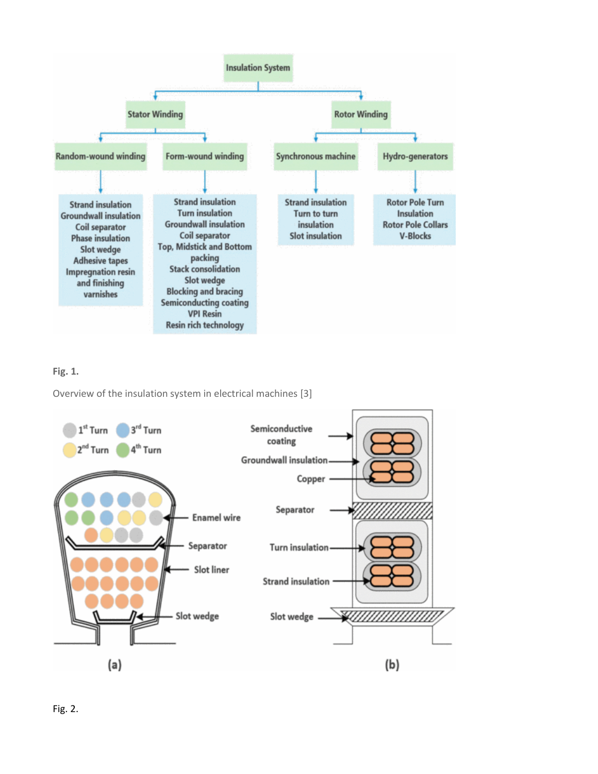

#### **Fig. 1.**

Overview of the insulation system in electrical machines [3]

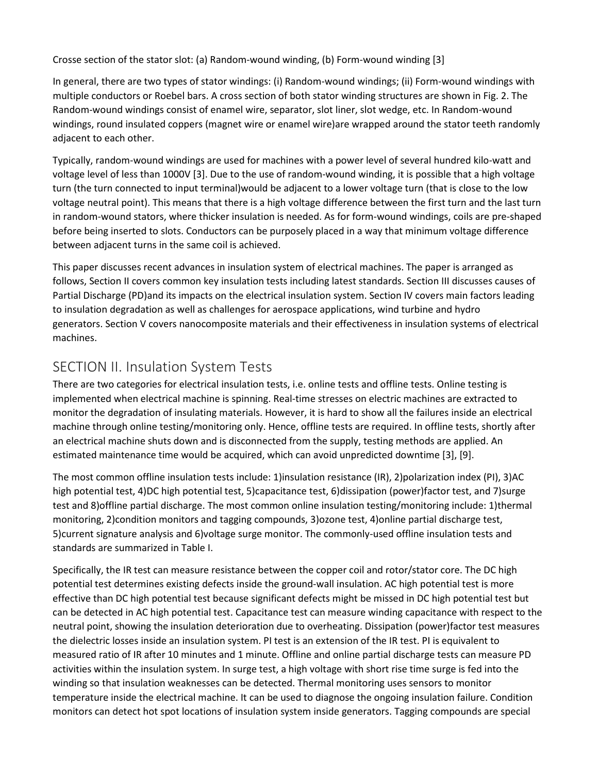Crosse section of the stator slot: (a) Random-wound winding, (b) Form-wound winding [3]

In general, there are two types of stator windings: (i) Random-wound windings; (ii) Form-wound windings with multiple conductors or Roebel bars. A cross section of both stator winding structures are shown in Fig. 2. The Random-wound windings consist of enamel wire, separator, slot liner, slot wedge, etc. In Random-wound windings, round insulated coppers (magnet wire or enamel wire)are wrapped around the stator teeth randomly adjacent to each other.

Typically, random-wound windings are used for machines with a power level of several hundred kilo-watt and voltage level of less than 1000V [3]. Due to the use of random-wound winding, it is possible that a high voltage turn (the turn connected to input terminal)would be adjacent to a lower voltage turn (that is close to the low voltage neutral point). This means that there is a high voltage difference between the first turn and the last turn in random-wound stators, where thicker insulation is needed. As for form-wound windings, coils are pre-shaped before being inserted to slots. Conductors can be purposely placed in a way that minimum voltage difference between adjacent turns in the same coil is achieved.

This paper discusses recent advances in insulation system of electrical machines. The paper is arranged as follows, Section II covers common key insulation tests including latest standards. Section III discusses causes of Partial Discharge (PD)and its impacts on the electrical insulation system. Section IV covers main factors leading to insulation degradation as well as challenges for aerospace applications, wind turbine and hydro generators. Section V covers nanocomposite materials and their effectiveness in insulation systems of electrical machines.

# SECTION II. Insulation System Tests

There are two categories for electrical insulation tests, i.e. online tests and offline tests. Online testing is implemented when electrical machine is spinning. Real-time stresses on electric machines are extracted to monitor the degradation of insulating materials. However, it is hard to show all the failures inside an electrical machine through online testing/monitoring only. Hence, offline tests are required. In offline tests, shortly after an electrical machine shuts down and is disconnected from the supply, testing methods are applied. An estimated maintenance time would be acquired, which can avoid unpredicted downtime [3], [9].

The most common offline insulation tests include: 1)insulation resistance (IR), 2)polarization index (PI), 3)AC high potential test, 4)DC high potential test, 5)capacitance test, 6)dissipation (power)factor test, and 7)surge test and 8)offline partial discharge. The most common online insulation testing/monitoring include: 1)thermal monitoring, 2)condition monitors and tagging compounds, 3)ozone test, 4)online partial discharge test, 5)current signature analysis and 6)voltage surge monitor. The commonly-used offline insulation tests and standards are summarized in Table I.

Specifically, the IR test can measure resistance between the copper coil and rotor/stator core. The DC high potential test determines existing defects inside the ground-wall insulation. AC high potential test is more effective than DC high potential test because significant defects might be missed in DC high potential test but can be detected in AC high potential test. Capacitance test can measure winding capacitance with respect to the neutral point, showing the insulation deterioration due to overheating. Dissipation (power)factor test measures the dielectric losses inside an insulation system. PI test is an extension of the IR test. PI is equivalent to measured ratio of IR after 10 minutes and 1 minute. Offline and online partial discharge tests can measure PD activities within the insulation system. In surge test, a high voltage with short rise time surge is fed into the winding so that insulation weaknesses can be detected. Thermal monitoring uses sensors to monitor temperature inside the electrical machine. It can be used to diagnose the ongoing insulation failure. Condition monitors can detect hot spot locations of insulation system inside generators. Tagging compounds are special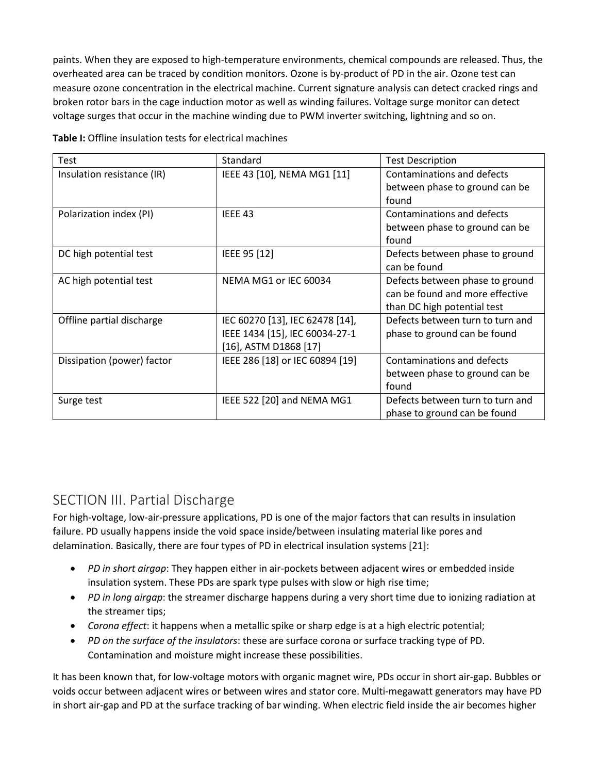paints. When they are exposed to high-temperature environments, chemical compounds are released. Thus, the overheated area can be traced by condition monitors. Ozone is by-product of PD in the air. Ozone test can measure ozone concentration in the electrical machine. Current signature analysis can detect cracked rings and broken rotor bars in the cage induction motor as well as winding failures. Voltage surge monitor can detect voltage surges that occur in the machine winding due to PWM inverter switching, lightning and so on.

| Test                       | Standard                        | <b>Test Description</b>          |
|----------------------------|---------------------------------|----------------------------------|
| Insulation resistance (IR) | IEEE 43 [10], NEMA MG1 [11]     | Contaminations and defects       |
|                            |                                 | between phase to ground can be   |
|                            |                                 | found                            |
| Polarization index (PI)    | IEEE 43                         | Contaminations and defects       |
|                            |                                 | between phase to ground can be   |
|                            |                                 | found                            |
| DC high potential test     | IEEE 95 [12]                    | Defects between phase to ground  |
|                            |                                 | can be found                     |
| AC high potential test     | NEMA MG1 or IEC 60034           | Defects between phase to ground  |
|                            |                                 | can be found and more effective  |
|                            |                                 | than DC high potential test      |
| Offline partial discharge  | IEC 60270 [13], IEC 62478 [14], | Defects between turn to turn and |
|                            | IEEE 1434 [15], IEC 60034-27-1  | phase to ground can be found     |
|                            | $[16]$ , ASTM D1868 $[17]$      |                                  |
| Dissipation (power) factor | IEEE 286 [18] or IEC 60894 [19] | Contaminations and defects       |
|                            |                                 | between phase to ground can be   |
|                            |                                 | found                            |
| Surge test                 | IEEE 522 [20] and NEMA MG1      | Defects between turn to turn and |
|                            |                                 | phase to ground can be found     |

**Table I:** Offline insulation tests for electrical machines

## SECTION III. Partial Discharge

For high-voltage, low-air-pressure applications, PD is one of the major factors that can results in insulation failure. PD usually happens inside the void space inside/between insulating material like pores and delamination. Basically, there are four types of PD in electrical insulation systems [21]:

- *PD in short airgap*: They happen either in air-pockets between adjacent wires or embedded inside insulation system. These PDs are spark type pulses with slow or high rise time;
- *PD in long airgap*: the streamer discharge happens during a very short time due to ionizing radiation at the streamer tips;
- *Corona effect*: it happens when a metallic spike or sharp edge is at a high electric potential;
- *PD on the surface of the insulators*: these are surface corona or surface tracking type of PD. Contamination and moisture might increase these possibilities.

It has been known that, for low-voltage motors with organic magnet wire, PDs occur in short air-gap. Bubbles or voids occur between adjacent wires or between wires and stator core. Multi-megawatt generators may have PD in short air-gap and PD at the surface tracking of bar winding. When electric field inside the air becomes higher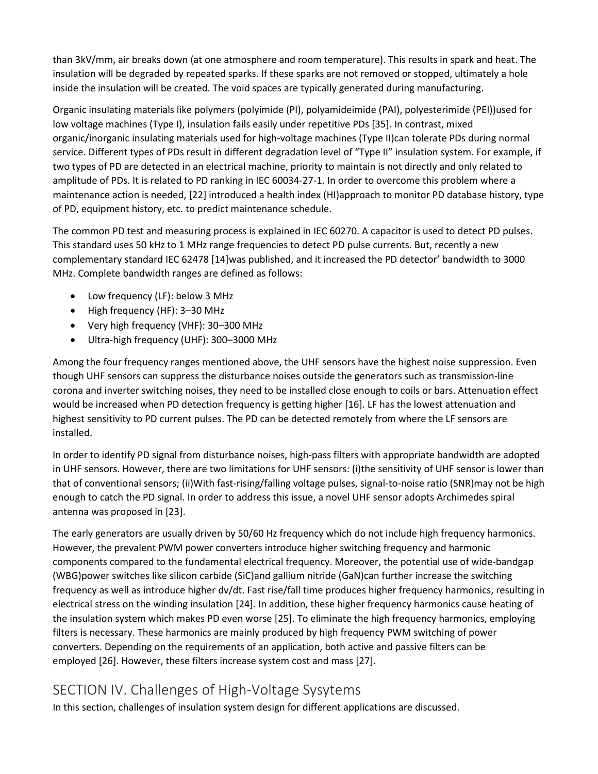than 3kV/mm, air breaks down (at one atmosphere and room temperature). This results in spark and heat. The insulation will be degraded by repeated sparks. If these sparks are not removed or stopped, ultimately a hole inside the insulation will be created. The void spaces are typically generated during manufacturing.

Organic insulating materials like polymers (polyimide (PI), polyamideimide (PAI), polyesterimide (PEI))used for low voltage machines (Type I), insulation fails easily under repetitive PDs [35]. In contrast, mixed organic/inorganic insulating materials used for high-voltage machines (Type II)can tolerate PDs during normal service. Different types of PDs result in different degradation level of "Type II" insulation system. For example, if two types of PD are detected in an electrical machine, priority to maintain is not directly and only related to amplitude of PDs. It is related to PD ranking in IEC 60034-27-1. In order to overcome this problem where a maintenance action is needed, [22] introduced a health index (HI)approach to monitor PD database history, type of PD, equipment history, etc. to predict maintenance schedule.

The common PD test and measuring process is explained in IEC 60270. A capacitor is used to detect PD pulses. This standard uses 50 kHz to 1 MHz range frequencies to detect PD pulse currents. But, recently a new complementary standard IEC 62478 [14]was published, and it increased the PD detector' bandwidth to 3000 MHz. Complete bandwidth ranges are defined as follows:

- Low frequency (LF): below 3 MHz
- High frequency (HF): 3–30 MHz
- Very high frequency (VHF): 30–300 MHz
- Ultra-high frequency (UHF): 300–3000 MHz

Among the four frequency ranges mentioned above, the UHF sensors have the highest noise suppression. Even though UHF sensors can suppress the disturbance noises outside the generators such as transmission-line corona and inverter switching noises, they need to be installed close enough to coils or bars. Attenuation effect would be increased when PD detection frequency is getting higher [16]. LF has the lowest attenuation and highest sensitivity to PD current pulses. The PD can be detected remotely from where the LF sensors are installed.

In order to identify PD signal from disturbance noises, high-pass filters with appropriate bandwidth are adopted in UHF sensors. However, there are two limitations for UHF sensors: (i)the sensitivity of UHF sensor is lower than that of conventional sensors; (ii)With fast-rising/falling voltage pulses, signal-to-noise ratio (SNR)may not be high enough to catch the PD signal. In order to address this issue, a novel UHF sensor adopts Archimedes spiral antenna was proposed in [23].

The early generators are usually driven by 50/60 Hz frequency which do not include high frequency harmonics. However, the prevalent PWM power converters introduce higher switching frequency and harmonic components compared to the fundamental electrical frequency. Moreover, the potential use of wide-bandgap (WBG)power switches like silicon carbide (SiC)and gallium nitride (GaN)can further increase the switching frequency as well as introduce higher dv/dt. Fast rise/fall time produces higher frequency harmonics, resulting in electrical stress on the winding insulation [24]. In addition, these higher frequency harmonics cause heating of the insulation system which makes PD even worse [25]. To eliminate the high frequency harmonics, employing filters is necessary. These harmonics are mainly produced by high frequency PWM switching of power converters. Depending on the requirements of an application, both active and passive filters can be employed [26]. However, these filters increase system cost and mass [27].

# SECTION IV. Challenges of High-Voltage Sysytems

In this section, challenges of insulation system design for different applications are discussed.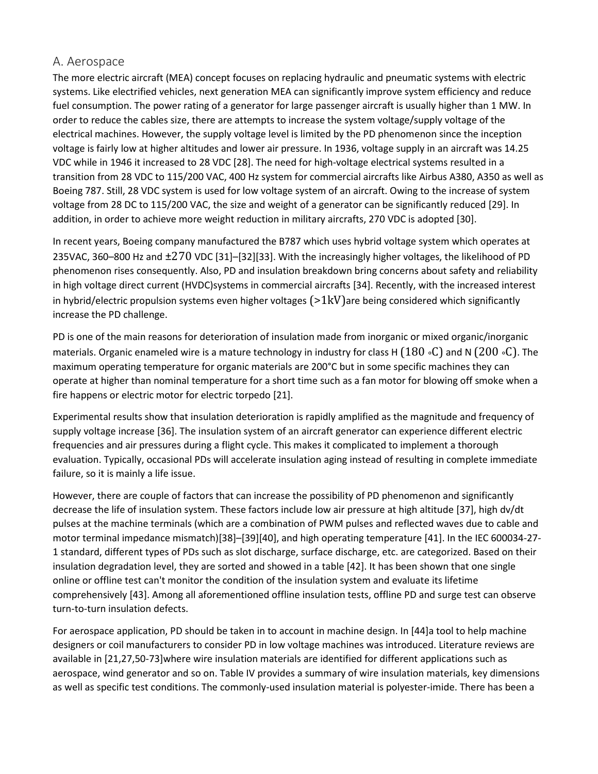#### A. Aerospace

The more electric aircraft (MEA) concept focuses on replacing hydraulic and pneumatic systems with electric systems. Like electrified vehicles, next generation MEA can significantly improve system efficiency and reduce fuel consumption. The power rating of a generator for large passenger aircraft is usually higher than 1 MW. In order to reduce the cables size, there are attempts to increase the system voltage/supply voltage of the electrical machines. However, the supply voltage level is limited by the PD phenomenon since the inception voltage is fairly low at higher altitudes and lower air pressure. In 1936, voltage supply in an aircraft was 14.25 VDC while in 1946 it increased to 28 VDC [28]. The need for high-voltage electrical systems resulted in a transition from 28 VDC to 115/200 VAC, 400 Hz system for commercial aircrafts like Airbus A380, A350 as well as Boeing 787. Still, 28 VDC system is used for low voltage system of an aircraft. Owing to the increase of system voltage from 28 DC to 115/200 VAC, the size and weight of a generator can be significantly reduced [29]. In addition, in order to achieve more weight reduction in military aircrafts, 270 VDC is adopted [30].

In recent years, Boeing company manufactured the B787 which uses hybrid voltage system which operates at 235VAC, 360–800 Hz and ±270 VDC [31]–[32][33]. With the increasingly higher voltages, the likelihood of PD phenomenon rises consequently. Also, PD and insulation breakdown bring concerns about safety and reliability in high voltage direct current (HVDC)systems in commercial aircrafts [34]. Recently, with the increased interest in hybrid/electric propulsion systems even higher voltages  $(>1kV)$ are being considered which significantly increase the PD challenge.

PD is one of the main reasons for deterioration of insulation made from inorganic or mixed organic/inorganic materials. Organic enameled wire is a mature technology in industry for class H (180 ∘C) and N (200 ∘C). The maximum operating temperature for organic materials are 200°C but in some specific machines they can operate at higher than nominal temperature for a short time such as a fan motor for blowing off smoke when a fire happens or electric motor for electric torpedo [21].

Experimental results show that insulation deterioration is rapidly amplified as the magnitude and frequency of supply voltage increase [36]. The insulation system of an aircraft generator can experience different electric frequencies and air pressures during a flight cycle. This makes it complicated to implement a thorough evaluation. Typically, occasional PDs will accelerate insulation aging instead of resulting in complete immediate failure, so it is mainly a life issue.

However, there are couple of factors that can increase the possibility of PD phenomenon and significantly decrease the life of insulation system. These factors include low air pressure at high altitude [37], high dv/dt pulses at the machine terminals (which are a combination of PWM pulses and reflected waves due to cable and motor terminal impedance mismatch)[38]–[39][40], and high operating temperature [41]. In the IEC 600034-27- 1 standard, different types of PDs such as slot discharge, surface discharge, etc. are categorized. Based on their insulation degradation level, they are sorted and showed in a table [42]. It has been shown that one single online or offline test can't monitor the condition of the insulation system and evaluate its lifetime comprehensively [43]. Among all aforementioned offline insulation tests, offline PD and surge test can observe turn-to-turn insulation defects.

For aerospace application, PD should be taken in to account in machine design. In [44]a tool to help machine designers or coil manufacturers to consider PD in low voltage machines was introduced. Literature reviews are available in [21,27,50-73]where wire insulation materials are identified for different applications such as aerospace, wind generator and so on. Table IV provides a summary of wire insulation materials, key dimensions as well as specific test conditions. The commonly-used insulation material is polyester-imide. There has been a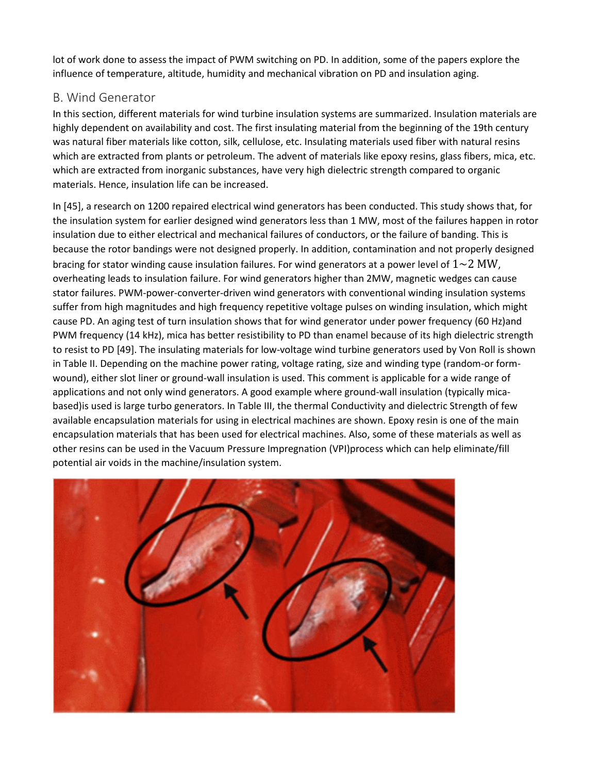lot of work done to assess the impact of PWM switching on PD. In addition, some of the papers explore the influence of temperature, altitude, humidity and mechanical vibration on PD and insulation aging.

### B. Wind Generator

In this section, different materials for wind turbine insulation systems are summarized. Insulation materials are highly dependent on availability and cost. The first insulating material from the beginning of the 19th century was natural fiber materials like cotton, silk, cellulose, etc. Insulating materials used fiber with natural resins which are extracted from plants or petroleum. The advent of materials like epoxy resins, glass fibers, mica, etc. which are extracted from inorganic substances, have very high dielectric strength compared to organic materials. Hence, insulation life can be increased.

In [45], a research on 1200 repaired electrical wind generators has been conducted. This study shows that, for the insulation system for earlier designed wind generators less than 1 MW, most of the failures happen in rotor insulation due to either electrical and mechanical failures of conductors, or the failure of banding. This is because the rotor bandings were not designed properly. In addition, contamination and not properly designed bracing for stator winding cause insulation failures. For wind generators at a power level of  $1~2~\mathrm{MW}$ , overheating leads to insulation failure. For wind generators higher than 2MW, magnetic wedges can cause stator failures. PWM-power-converter-driven wind generators with conventional winding insulation systems suffer from high magnitudes and high frequency repetitive voltage pulses on winding insulation, which might cause PD. An aging test of turn insulation shows that for wind generator under power frequency (60 Hz)and PWM frequency (14 kHz), mica has better resistibility to PD than enamel because of its high dielectric strength to resist to PD [49]. The insulating materials for low-voltage wind turbine generators used by Von Roll is shown in Table II. Depending on the machine power rating, voltage rating, size and winding type (random-or formwound), either slot liner or ground-wall insulation is used. This comment is applicable for a wide range of applications and not only wind generators. A good example where ground-wall insulation (typically micabased)is used is large turbo generators. In Table III, the thermal Conductivity and dielectric Strength of few available encapsulation materials for using in electrical machines are shown. Epoxy resin is one of the main encapsulation materials that has been used for electrical machines. Also, some of these materials as well as other resins can be used in the Vacuum Pressure Impregnation (VPI)process which can help eliminate/fill potential air voids in the machine/insulation system.

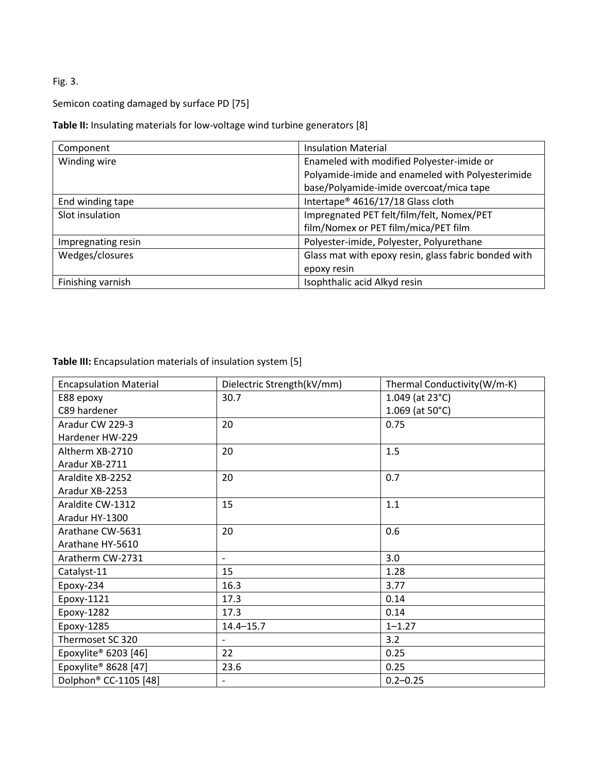## Fig. 3.

#### Semicon coating damaged by surface PD [75]

**Table II:** Insulating materials for low-voltage wind turbine generators [8]

| Component          | <b>Insulation Material</b>                           |  |
|--------------------|------------------------------------------------------|--|
| Winding wire       | Enameled with modified Polyester-imide or            |  |
|                    | Polyamide-imide and enameled with Polyesterimide     |  |
|                    | base/Polyamide-imide overcoat/mica tape              |  |
| End winding tape   | Intertape <sup>®</sup> 4616/17/18 Glass cloth        |  |
| Slot insulation    | Impregnated PET felt/film/felt, Nomex/PET            |  |
|                    | film/Nomex or PET film/mica/PET film                 |  |
| Impregnating resin | Polyester-imide, Polyester, Polyurethane             |  |
| Wedges/closures    | Glass mat with epoxy resin, glass fabric bonded with |  |
|                    | epoxy resin                                          |  |
| Finishing varnish  | Isophthalic acid Alkyd resin                         |  |

**Table III:** Encapsulation materials of insulation system [5]

| <b>Encapsulation Material</b>     | Dielectric Strength(kV/mm) | Thermal Conductivity(W/m-K) |
|-----------------------------------|----------------------------|-----------------------------|
| E88 epoxy                         | 30.7                       | 1.049 (at $23^{\circ}$ C)   |
| C89 hardener                      |                            | $1.069$ (at $50^{\circ}$ C) |
| Aradur CW 229-3                   | 20                         | 0.75                        |
| Hardener HW-229                   |                            |                             |
| Altherm XB-2710                   | 20                         | 1.5                         |
| Aradur XB-2711                    |                            |                             |
| Araldite XB-2252                  | 20                         | 0.7                         |
| Aradur XB-2253                    |                            |                             |
| Araldite CW-1312                  | 15                         | 1.1                         |
| Aradur HY-1300                    |                            |                             |
| Arathane CW-5631                  | 20                         | 0.6                         |
| Arathane HY-5610                  |                            |                             |
| Aratherm CW-2731                  |                            | 3.0                         |
| Catalyst-11                       | 15                         | 1.28                        |
| Epoxy-234                         | 16.3                       | 3.77                        |
| Epoxy-1121                        | 17.3                       | 0.14                        |
| Epoxy-1282                        | 17.3                       | 0.14                        |
| Epoxy-1285                        | $14.4 - 15.7$              | $1 - 1.27$                  |
| Thermoset SC 320                  | $\overline{\phantom{0}}$   | 3.2                         |
| Epoxylite <sup>®</sup> 6203 [46]  | 22                         | 0.25                        |
| Epoxylite <sup>®</sup> 8628 [47]  | 23.6                       | 0.25                        |
| Dolphon <sup>®</sup> CC-1105 [48] |                            | $0.2 - 0.25$                |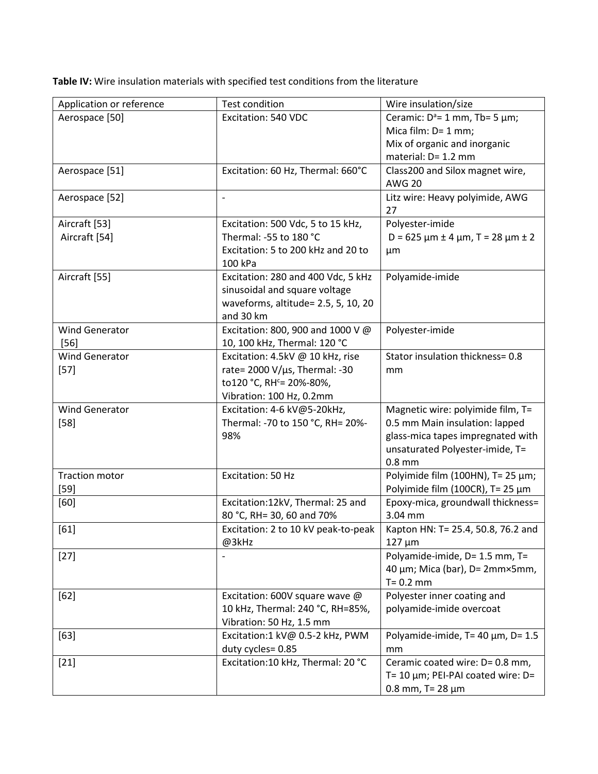**Table IV:** Wire insulation materials with specified test conditions from the literature

| Application or reference | <b>Test condition</b>                         | Wire insulation/size                               |
|--------------------------|-----------------------------------------------|----------------------------------------------------|
| Aerospace [50]           | Excitation: 540 VDC                           | Ceramic: $D^a = 1$ mm, Tb= 5 µm;                   |
|                          |                                               | Mica film: D= 1 mm;                                |
|                          |                                               | Mix of organic and inorganic                       |
|                          |                                               | material: D= 1.2 mm                                |
| Aerospace [51]           | Excitation: 60 Hz, Thermal: 660°C             | Class200 and Silox magnet wire,<br><b>AWG 20</b>   |
| Aerospace [52]           | $\overline{\phantom{a}}$                      | Litz wire: Heavy polyimide, AWG<br>27              |
| Aircraft [53]            | Excitation: 500 Vdc, 5 to 15 kHz,             | Polyester-imide                                    |
| Aircraft [54]            | Thermal: -55 to 180 °C                        | $D = 625 \mu m \pm 4 \mu m$ , T = 28 $\mu m \pm 2$ |
|                          | Excitation: 5 to 200 kHz and 20 to<br>100 kPa | µm                                                 |
| Aircraft [55]            | Excitation: 280 and 400 Vdc, 5 kHz            | Polyamide-imide                                    |
|                          | sinusoidal and square voltage                 |                                                    |
|                          | waveforms, altitude= 2.5, 5, 10, 20           |                                                    |
|                          | and 30 km                                     |                                                    |
| Wind Generator           | Excitation: 800, 900 and 1000 V @             | Polyester-imide                                    |
| $[56]$                   | 10, 100 kHz, Thermal: 120 °C                  |                                                    |
| <b>Wind Generator</b>    | Excitation: 4.5kV @ 10 kHz, rise              | Stator insulation thickness= 0.8                   |
| $[57]$                   | rate= $2000 V/\mu s$ , Thermal: -30           | mm                                                 |
|                          | to120 °C, RH <sup>c</sup> = 20%-80%,          |                                                    |
|                          | Vibration: 100 Hz, 0.2mm                      |                                                    |
| <b>Wind Generator</b>    | Excitation: 4-6 kV@5-20kHz,                   | Magnetic wire: polyimide film, T=                  |
| $[58]$                   | Thermal: -70 to 150 °C, RH= 20%-              | 0.5 mm Main insulation: lapped                     |
|                          | 98%                                           | glass-mica tapes impregnated with                  |
|                          |                                               | unsaturated Polyester-imide, T=<br>$0.8$ mm        |
| <b>Traction motor</b>    | Excitation: 50 Hz                             | Polyimide film (100HN), T= 25 µm;                  |
| $[59]$                   |                                               | Polyimide film (100CR), T= 25 $\mu$ m              |
| [60]                     | Excitation:12kV, Thermal: 25 and              | Epoxy-mica, groundwall thickness=                  |
|                          | 80 °C, RH= 30, 60 and 70%                     | 3.04 mm                                            |
| [61]                     | Excitation: 2 to 10 kV peak-to-peak           | Kapton HN: T= 25.4, 50.8, 76.2 and                 |
|                          | @3kHz                                         | $127 \mu m$                                        |
| $[27]$                   |                                               | Polyamide-imide, D= 1.5 mm, T=                     |
|                          |                                               | 40 μm; Mica (bar), D= 2mm×5mm,                     |
|                          |                                               | $T = 0.2$ mm                                       |
| $[62]$                   | Excitation: 600V square wave @                | Polyester inner coating and                        |
|                          | 10 kHz, Thermal: 240 °C, RH=85%,              | polyamide-imide overcoat                           |
|                          | Vibration: 50 Hz, 1.5 mm                      |                                                    |
| $[63]$                   | Excitation:1 kV@ 0.5-2 kHz, PWM               | Polyamide-imide, T= 40 µm, D= 1.5                  |
|                          | duty cycles= 0.85                             | mm                                                 |
| $[21]$                   | Excitation:10 kHz, Thermal: 20 °C             | Ceramic coated wire: D= 0.8 mm,                    |
|                          |                                               | T= 10 $\mu$ m; PEI-PAI coated wire: D=             |
|                          |                                               | 0.8 mm, $T = 28 \mu m$                             |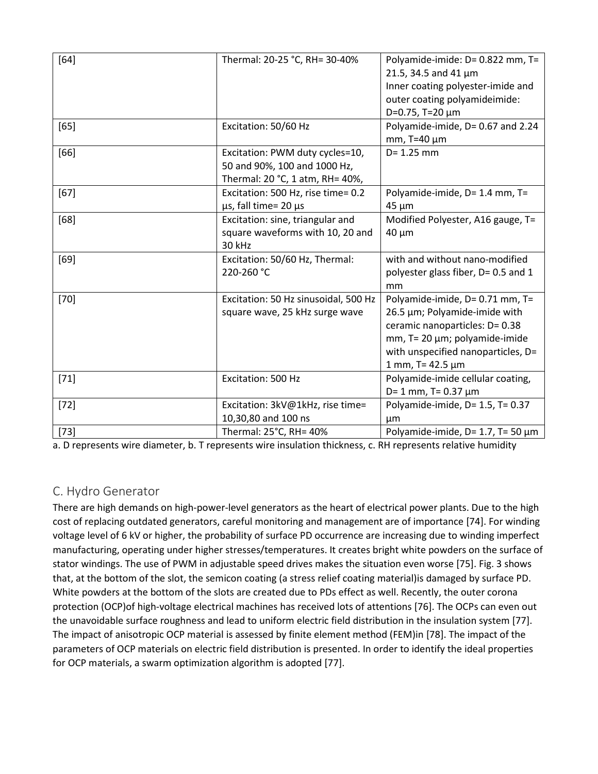| $[64]$ | Thermal: 20-25 °C, RH= 30-40%                                                                      | Polyamide-imide: D= 0.822 mm, T=<br>21.5, 34.5 and 41 $\mu$ m<br>Inner coating polyester-imide and<br>outer coating polyamideimide:<br>D=0.75, T=20 $\mu$ m                                          |
|--------|----------------------------------------------------------------------------------------------------|------------------------------------------------------------------------------------------------------------------------------------------------------------------------------------------------------|
| [65]   | Excitation: 50/60 Hz                                                                               | Polyamide-imide, D= 0.67 and 2.24<br>mm, $T=40 \mu m$                                                                                                                                                |
| $[66]$ | Excitation: PWM duty cycles=10,<br>50 and 90%, 100 and 1000 Hz,<br>Thermal: 20 °C, 1 atm, RH= 40%, | $D = 1.25$ mm                                                                                                                                                                                        |
| $[67]$ | Excitation: 500 Hz, rise time= 0.2<br>$\mu$ s, fall time= 20 $\mu$ s                               | Polyamide-imide, D= 1.4 mm, T=<br>$45 \mu m$                                                                                                                                                         |
| [68]   | Excitation: sine, triangular and<br>square waveforms with 10, 20 and<br>30 kHz                     | Modified Polyester, A16 gauge, T=<br>$40 \mu m$                                                                                                                                                      |
| $[69]$ | Excitation: 50/60 Hz, Thermal:<br>220-260 °C                                                       | with and without nano-modified<br>polyester glass fiber, D= 0.5 and 1<br>mm                                                                                                                          |
| $[70]$ | Excitation: 50 Hz sinusoidal, 500 Hz<br>square wave, 25 kHz surge wave                             | Polyamide-imide, D= 0.71 mm, T=<br>26.5 µm; Polyamide-imide with<br>ceramic nanoparticles: D= 0.38<br>mm, T= 20 µm; polyamide-imide<br>with unspecified nanoparticles, D=<br>$1$ mm, T= 42.5 $\mu$ m |
| $[71]$ | Excitation: 500 Hz                                                                                 | Polyamide-imide cellular coating,<br>$D = 1$ mm, T= 0.37 $\mu$ m                                                                                                                                     |
| $[72]$ | Excitation: 3kV@1kHz, rise time=<br>10,30,80 and 100 ns                                            | Polyamide-imide, D= 1.5, T= 0.37<br>μm                                                                                                                                                               |
| $[73]$ | Thermal: 25°C, RH= 40%                                                                             | Polyamide-imide, $D = 1.7$ , T= 50 $\mu$ m                                                                                                                                                           |

a. D represents wire diameter, b. T represents wire insulation thickness, c. RH represents relative humidit[y](https://ieeexplore.ieee.org/mediastore_new/IEEE/content/media/8766816/8785065/8785099/31511614-table-4-source-large.gif)

## C. Hydro Generator

There are high demands on high-power-level generators as the heart of electrical power plants. Due to the high cost of replacing outdated generators, careful monitoring and management are of importance [74]. For winding voltage level of 6 kV or higher, the probability of surface PD occurrence are increasing due to winding imperfect manufacturing, operating under higher stresses/temperatures. It creates bright white powders on the surface of stator windings. The use of PWM in adjustable speed drives makes the situation even worse [75]. Fig. 3 shows that, at the bottom of the slot, the semicon coating (a stress relief coating material)is damaged by surface PD. White powders at the bottom of the slots are created due to PDs effect as well. Recently, the outer corona protection (OCP)of high-voltage electrical machines has received lots of attentions [76]. The OCPs can even out the unavoidable surface roughness and lead to uniform electric field distribution in the insulation system [77]. The impact of anisotropic OCP material is assessed by finite element method (FEM)in [78]. The impact of the parameters of OCP materials on electric field distribution is presented. In order to identify the ideal properties for OCP materials, a swarm optimization algorithm is adopted [77].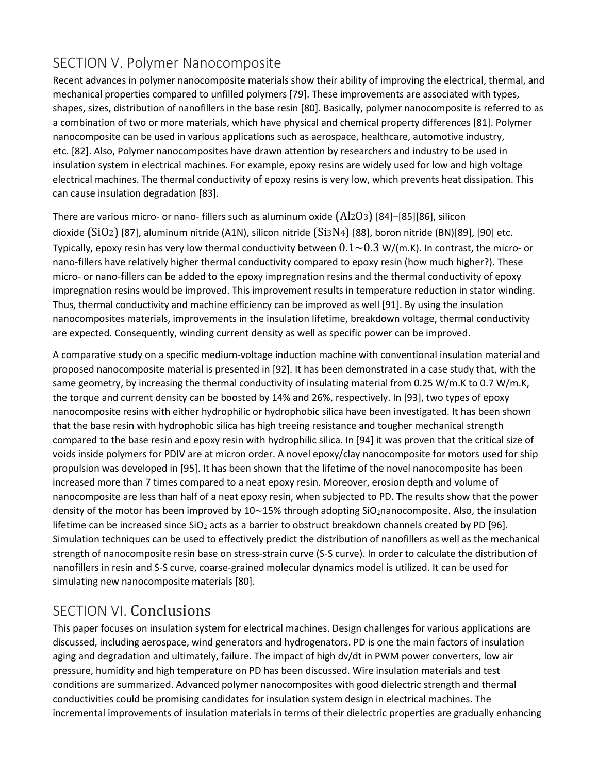# SECTION V. Polymer Nanocomposite

Recent advances in polymer nanocomposite materials show their ability of improving the electrical, thermal, and mechanical properties compared to unfilled polymers [79]. These improvements are associated with types, shapes, sizes, distribution of nanofillers in the base resin [80]. Basically, polymer nanocomposite is referred to as a combination of two or more materials, which have physical and chemical property differences [81]. Polymer nanocomposite can be used in various applications such as aerospace, healthcare, automotive industry, etc. [82]. Also, Polymer nanocomposites have drawn attention by researchers and industry to be used in insulation system in electrical machines. For example, epoxy resins are widely used for low and high voltage electrical machines. The thermal conductivity of epoxy resins is very low, which prevents heat dissipation. This can cause insulation degradation [83].

There are various micro- or nano- fillers such as aluminum oxide (Al2O3) [84]–[85][86], silicon dioxide (SiO2) [87], aluminum nitride (A1N), silicon nitride (Si3N4) [88], boron nitride (BN)[89], [90] etc. Typically, epoxy resin has very low thermal conductivity between  $0.1~0.2~$  W/(m.K). In contrast, the micro- or nano-fillers have relatively higher thermal conductivity compared to epoxy resin (how much higher?). These micro- or nano-fillers can be added to the epoxy impregnation resins and the thermal conductivity of epoxy impregnation resins would be improved. This improvement results in temperature reduction in stator winding. Thus, thermal conductivity and machine efficiency can be improved as well [91]. By using the insulation nanocomposites materials, improvements in the insulation lifetime, breakdown voltage, thermal conductivity are expected. Consequently, winding current density as well as specific power can be improved.

A comparative study on a specific medium-voltage induction machine with conventional insulation material and proposed nanocomposite material is presented in [92]. It has been demonstrated in a case study that, with the same geometry, by increasing the thermal conductivity of insulating material from 0.25 W/m.K to 0.7 W/m.K, the torque and current density can be boosted by 14% and 26%, respectively. In [93], two types of epoxy nanocomposite resins with either hydrophilic or hydrophobic silica have been investigated. It has been shown that the base resin with hydrophobic silica has high treeing resistance and tougher mechanical strength compared to the base resin and epoxy resin with hydrophilic silica. In [94] it was proven that the critical size of voids inside polymers for PDIV are at micron order. A novel epoxy/clay nanocomposite for motors used for ship propulsion was developed in [95]. It has been shown that the lifetime of the novel nanocomposite has been increased more than 7 times compared to a neat epoxy resin. Moreover, erosion depth and volume of nanocomposite are less than half of a neat epoxy resin, when subjected to PD. The results show that the power density of the motor has been improved by 10∼15% through adopting SiO<sub>2</sub>nanocomposite. Also, the insulation lifetime can be increased since SiO<sub>2</sub> acts as a barrier to obstruct breakdown channels created by PD [96]. Simulation techniques can be used to effectively predict the distribution of nanofillers as well as the mechanical strength of nanocomposite resin base on stress-strain curve (S-S curve). In order to calculate the distribution of nanofillers in resin and S-S curve, coarse-grained molecular dynamics model is utilized. It can be used for simulating new nanocomposite materials [80].

## SECTION VI. Conclusions

This paper focuses on insulation system for electrical machines. Design challenges for various applications are discussed, including aerospace, wind generators and hydrogenators. PD is one the main factors of insulation aging and degradation and ultimately, failure. The impact of high dv/dt in PWM power converters, low air pressure, humidity and high temperature on PD has been discussed. Wire insulation materials and test conditions are summarized. Advanced polymer nanocomposites with good dielectric strength and thermal conductivities could be promising candidates for insulation system design in electrical machines. The incremental improvements of insulation materials in terms of their dielectric properties are gradually enhancing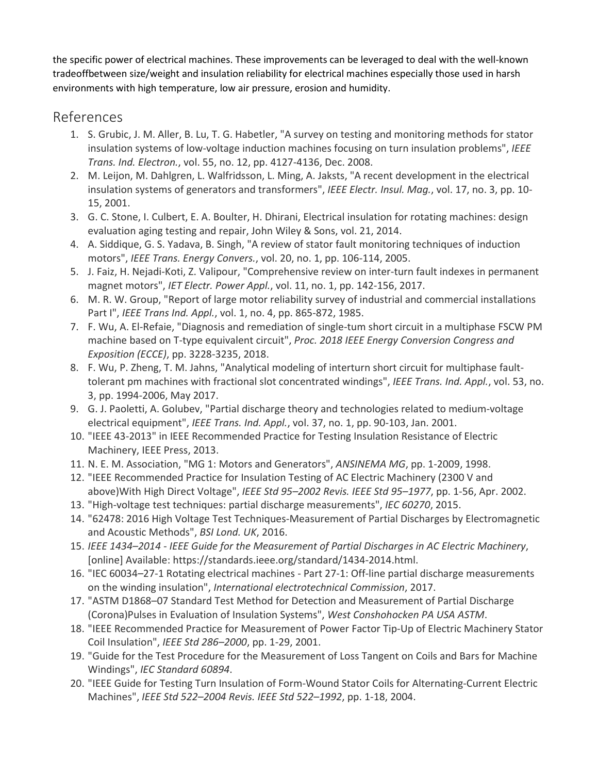the specific power of electrical machines. These improvements can be leveraged to deal with the well-known tradeoffbetween size/weight and insulation reliability for electrical machines especially those used in harsh environments with high temperature, low air pressure, erosion and humidity.

## References

- 1. S. Grubic, J. M. Aller, B. Lu, T. G. Habetler, "A survey on testing and monitoring methods for stator insulation systems of low-voltage induction machines focusing on turn insulation problems", *IEEE Trans. Ind. Electron.*, vol. 55, no. 12, pp. 4127-4136, Dec. 2008.
- 2. M. Leijon, M. Dahlgren, L. Walfridsson, L. Ming, A. Jaksts, "A recent development in the electrical insulation systems of generators and transformers", *IEEE Electr. Insul. Mag.*, vol. 17, no. 3, pp. 10- 15, 2001.
- 3. G. C. Stone, I. Culbert, E. A. Boulter, H. Dhirani, Electrical insulation for rotating machines: design evaluation aging testing and repair, John Wiley & Sons, vol. 21, 2014.
- 4. A. Siddique, G. S. Yadava, B. Singh, "A review of stator fault monitoring techniques of induction motors", *IEEE Trans. Energy Convers.*, vol. 20, no. 1, pp. 106-114, 2005.
- 5. J. Faiz, H. Nejadi-Koti, Z. Valipour, "Comprehensive review on inter-turn fault indexes in permanent magnet motors", *IET Electr. Power Appl.*, vol. 11, no. 1, pp. 142-156, 2017.
- 6. M. R. W. Group, "Report of large motor reliability survey of industrial and commercial installations Part I", *IEEE Trans Ind. Appl.*, vol. 1, no. 4, pp. 865-872, 1985.
- 7. F. Wu, A. El-Refaie, "Diagnosis and remediation of single-tum short circuit in a multiphase FSCW PM machine based on T-type equivalent circuit", *Proc. 2018 IEEE Energy Conversion Congress and Exposition (ECCE)*, pp. 3228-3235, 2018.
- 8. F. Wu, P. Zheng, T. M. Jahns, "Analytical modeling of interturn short circuit for multiphase faulttolerant pm machines with fractional slot concentrated windings", *IEEE Trans. Ind. Appl.*, vol. 53, no. 3, pp. 1994-2006, May 2017.
- 9. G. J. Paoletti, A. Golubev, "Partial discharge theory and technologies related to medium-voltage electrical equipment", *IEEE Trans. Ind. Appl.*, vol. 37, no. 1, pp. 90-103, Jan. 2001.
- 10. "IEEE 43-2013" in IEEE Recommended Practice for Testing Insulation Resistance of Electric Machinery, IEEE Press, 2013.
- 11. N. E. M. Association, "MG 1: Motors and Generators", *ANSINEMA MG*, pp. 1-2009, 1998.
- 12. "IEEE Recommended Practice for Insulation Testing of AC Electric Machinery (2300 V and above)With High Direct Voltage", *IEEE Std 95–2002 Revis. IEEE Std 95–1977*, pp. 1-56, Apr. 2002.
- 13. "High-voltage test techniques: partial discharge measurements", *IEC 60270*, 2015.
- 14. "62478: 2016 High Voltage Test Techniques-Measurement of Partial Discharges by Electromagnetic and Acoustic Methods", *BSI Lond. UK*, 2016.
- 15. *IEEE 1434–2014 - IEEE Guide for the Measurement of Partial Discharges in AC Electric Machinery*, [online] Available: https://standards.ieee.org/standard/1434-2014.html.
- 16. "IEC 60034–27-1 Rotating electrical machines Part 27-1: Off-line partial discharge measurements on the winding insulation", *International electrotechnical Commission*, 2017.
- 17. "ASTM D1868–07 Standard Test Method for Detection and Measurement of Partial Discharge (Corona)Pulses in Evaluation of Insulation Systems", *West Conshohocken PA USA ASTM*.
- 18. "IEEE Recommended Practice for Measurement of Power Factor Tip-Up of Electric Machinery Stator Coil Insulation", *IEEE Std 286–2000*, pp. 1-29, 2001.
- 19. "Guide for the Test Procedure for the Measurement of Loss Tangent on Coils and Bars for Machine Windings", *IEC Standard 60894*.
- 20. "IEEE Guide for Testing Turn Insulation of Form-Wound Stator Coils for Alternating-Current Electric Machines", *IEEE Std 522–2004 Revis. IEEE Std 522–1992*, pp. 1-18, 2004.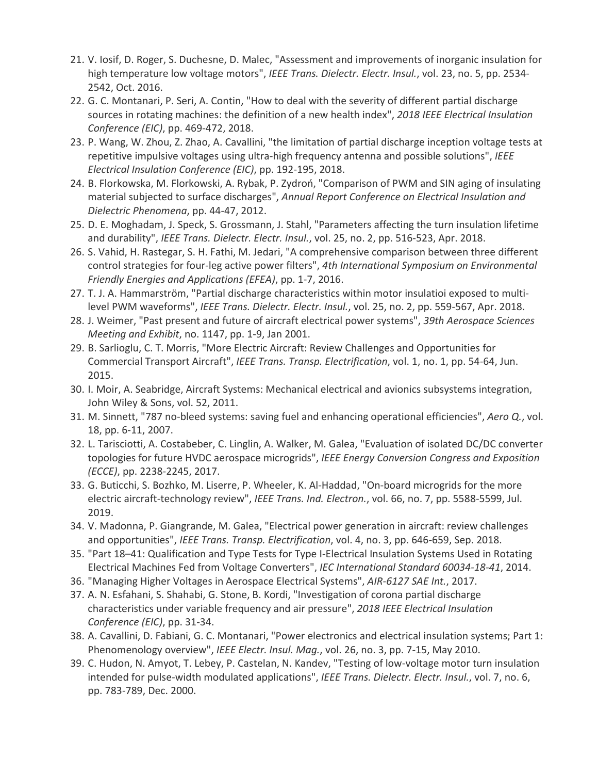- 21. V. Iosif, D. Roger, S. Duchesne, D. Malec, "Assessment and improvements of inorganic insulation for high temperature low voltage motors", *IEEE Trans. Dielectr. Electr. Insul.*, vol. 23, no. 5, pp. 2534- 2542, Oct. 2016.
- 22. G. C. Montanari, P. Seri, A. Contin, "How to deal with the severity of different partial discharge sources in rotating machines: the definition of a new health index", *2018 IEEE Electrical Insulation Conference (EIC)*, pp. 469-472, 2018.
- 23. P. Wang, W. Zhou, Z. Zhao, A. Cavallini, "the limitation of partial discharge inception voltage tests at repetitive impulsive voltages using ultra-high frequency antenna and possible solutions", *IEEE Electrical Insulation Conference (EIC)*, pp. 192-195, 2018.
- 24. B. Florkowska, M. Florkowski, A. Rybak, P. Zydroń, "Comparison of PWM and SIN aging of insulating material subjected to surface discharges", *Annual Report Conference on Electrical Insulation and Dielectric Phenomena*, pp. 44-47, 2012.
- 25. D. E. Moghadam, J. Speck, S. Grossmann, J. Stahl, "Parameters affecting the turn insulation lifetime and durability", *IEEE Trans. Dielectr. Electr. Insul.*, vol. 25, no. 2, pp. 516-523, Apr. 2018.
- 26. S. Vahid, H. Rastegar, S. H. Fathi, M. Jedari, "A comprehensive comparison between three different control strategies for four-leg active power filters", *4th International Symposium on Environmental Friendly Energies and Applications (EFEA)*, pp. 1-7, 2016.
- 27. T. J. A. Hammarström, "Partial discharge characteristics within motor insulatioi exposed to multilevel PWM waveforms", *IEEE Trans. Dielectr. Electr. Insul.*, vol. 25, no. 2, pp. 559-567, Apr. 2018.
- 28. J. Weimer, "Past present and future of aircraft electrical power systems", *39th Aerospace Sciences Meeting and Exhibit*, no. 1147, pp. 1-9, Jan 2001.
- 29. B. Sarlioglu, C. T. Morris, "More Electric Aircraft: Review Challenges and Opportunities for Commercial Transport Aircraft", *IEEE Trans. Transp. Electrification*, vol. 1, no. 1, pp. 54-64, Jun. 2015.
- 30. I. Moir, A. Seabridge, Aircraft Systems: Mechanical electrical and avionics subsystems integration, John Wiley & Sons, vol. 52, 2011.
- 31. M. Sinnett, "787 no-bleed systems: saving fuel and enhancing operational efficiencies", *Aero Q.*, vol. 18, pp. 6-11, 2007.
- 32. L. Tarisciotti, A. Costabeber, C. Linglin, A. Walker, M. Galea, "Evaluation of isolated DC/DC converter topologies for future HVDC aerospace microgrids", *IEEE Energy Conversion Congress and Exposition (ECCE)*, pp. 2238-2245, 2017.
- 33. G. Buticchi, S. Bozhko, M. Liserre, P. Wheeler, K. Al-Haddad, "On-board microgrids for the more electric aircraft-technology review", *IEEE Trans. Ind. Electron.*, vol. 66, no. 7, pp. 5588-5599, Jul. 2019.
- 34. V. Madonna, P. Giangrande, M. Galea, "Electrical power generation in aircraft: review challenges and opportunities", *IEEE Trans. Transp. Electrification*, vol. 4, no. 3, pp. 646-659, Sep. 2018.
- 35. "Part 18–41: Qualification and Type Tests for Type I-Electrical Insulation Systems Used in Rotating Electrical Machines Fed from Voltage Converters", *IEC International Standard 60034-18-41*, 2014.
- 36. "Managing Higher Voltages in Aerospace Electrical Systems", *AIR-6127 SAE Int.*, 2017.
- 37. A. N. Esfahani, S. Shahabi, G. Stone, B. Kordi, "Investigation of corona partial discharge characteristics under variable frequency and air pressure", *2018 IEEE Electrical Insulation Conference (EIC)*, pp. 31-34.
- 38. A. Cavallini, D. Fabiani, G. C. Montanari, "Power electronics and electrical insulation systems; Part 1: Phenomenology overview", *IEEE Electr. Insul. Mag.*, vol. 26, no. 3, pp. 7-15, May 2010.
- 39. C. Hudon, N. Amyot, T. Lebey, P. Castelan, N. Kandev, "Testing of low-voltage motor turn insulation intended for pulse-width modulated applications", *IEEE Trans. Dielectr. Electr. Insul.*, vol. 7, no. 6, pp. 783-789, Dec. 2000.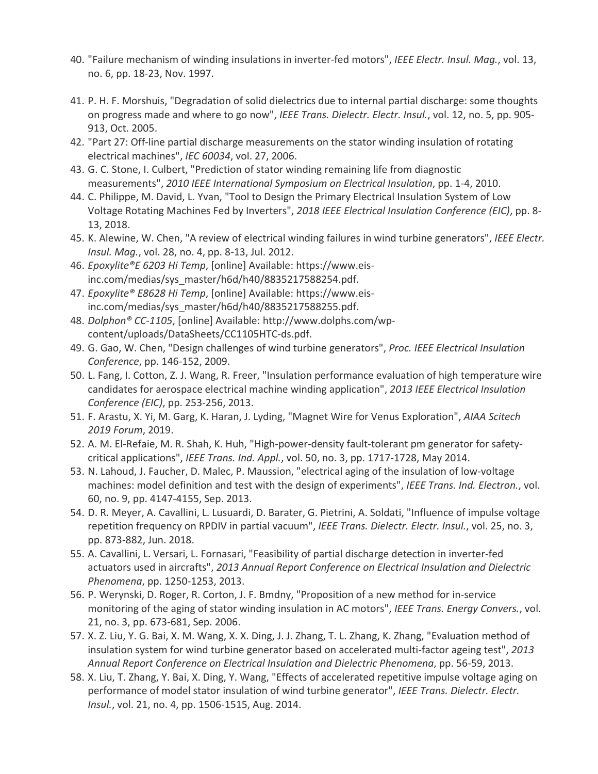- 40. "Failure mechanism of winding insulations in inverter-fed motors", *IEEE Electr. Insul. Mag.*, vol. 13, no. 6, pp. 18-23, Nov. 1997.
- 41. P. H. F. Morshuis, "Degradation of solid dielectrics due to internal partial discharge: some thoughts on progress made and where to go now", *IEEE Trans. Dielectr. Electr. Insul.*, vol. 12, no. 5, pp. 905- 913, Oct. 2005.
- 42. "Part 27: Off-line partial discharge measurements on the stator winding insulation of rotating electrical machines", *IEC 60034*, vol. 27, 2006.
- 43. G. C. Stone, I. Culbert, "Prediction of stator winding remaining life from diagnostic measurements", *2010 IEEE International Symposium on Electrical Insulation*, pp. 1-4, 2010.
- 44. C. Philippe, M. David, L. Yvan, "Tool to Design the Primary Electrical Insulation System of Low Voltage Rotating Machines Fed by Inverters", *2018 IEEE Electrical Insulation Conference (EIC)*, pp. 8- 13, 2018.
- 45. K. Alewine, W. Chen, "A review of electrical winding failures in wind turbine generators", *IEEE Electr. Insul. Mag.*, vol. 28, no. 4, pp. 8-13, Jul. 2012.
- 46. *Epoxylite®E 6203 Hi Temp*, [online] Available: https://www.eisinc.com/medias/sys\_master/h6d/h40/8835217588254.pdf.
- 47. *Epoxylite® E8628 Hi Temp*, [online] Available: https://www.eisinc.com/medias/sys\_master/h6d/h40/8835217588255.pdf.
- 48. *Dolphon® CC-1105*, [online] Available: http://www.dolphs.com/wpcontent/uploads/DataSheets/CC1105HTC-ds.pdf.
- 49. G. Gao, W. Chen, "Design challenges of wind turbine generators", *Proc. IEEE Electrical Insulation Conference*, pp. 146-152, 2009.
- 50. L. Fang, I. Cotton, Z. J. Wang, R. Freer, "Insulation performance evaluation of high temperature wire candidates for aerospace electrical machine winding application", *2013 IEEE Electrical Insulation Conference (EIC)*, pp. 253-256, 2013.
- 51. F. Arastu, X. Yi, M. Garg, K. Haran, J. Lyding, "Magnet Wire for Venus Exploration", *AIAA Scitech 2019 Forum*, 2019.
- 52. A. M. El-Refaie, M. R. Shah, K. Huh, "High-power-density fault-tolerant pm generator for safetycritical applications", *IEEE Trans. Ind. Appl.*, vol. 50, no. 3, pp. 1717-1728, May 2014.
- 53. N. Lahoud, J. Faucher, D. Malec, P. Maussion, "electrical aging of the insulation of low-voltage machines: model definition and test with the design of experiments", *IEEE Trans. Ind. Electron.*, vol. 60, no. 9, pp. 4147-4155, Sep. 2013.
- 54. D. R. Meyer, A. Cavallini, L. Lusuardi, D. Barater, G. Pietrini, A. Soldati, "Influence of impulse voltage repetition frequency on RPDIV in partial vacuum", *IEEE Trans. Dielectr. Electr. Insul.*, vol. 25, no. 3, pp. 873-882, Jun. 2018.
- 55. A. Cavallini, L. Versari, L. Fornasari, "Feasibility of partial discharge detection in inverter-fed actuators used in aircrafts", *2013 Annual Report Conference on Electrical Insulation and Dielectric Phenomena*, pp. 1250-1253, 2013.
- 56. P. Werynski, D. Roger, R. Corton, J. F. Bmdny, "Proposition of a new method for in-service monitoring of the aging of stator winding insulation in AC motors", *IEEE Trans. Energy Convers.*, vol. 21, no. 3, pp. 673-681, Sep. 2006.
- 57. X. Z. Liu, Y. G. Bai, X. M. Wang, X. X. Ding, J. J. Zhang, T. L. Zhang, K. Zhang, "Evaluation method of insulation system for wind turbine generator based on accelerated multi-factor ageing test", *2013 Annual Report Conference on Electrical Insulation and Dielectric Phenomena*, pp. 56-59, 2013.
- 58. X. Liu, T. Zhang, Y. Bai, X. Ding, Y. Wang, "Effects of accelerated repetitive impulse voltage aging on performance of model stator insulation of wind turbine generator", *IEEE Trans. Dielectr. Electr. Insul.*, vol. 21, no. 4, pp. 1506-1515, Aug. 2014.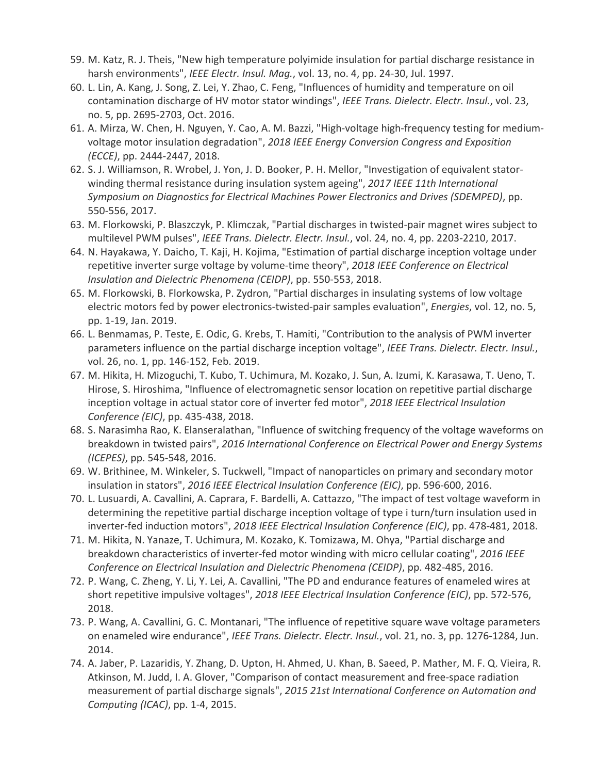- 59. M. Katz, R. J. Theis, "New high temperature polyimide insulation for partial discharge resistance in harsh environments", *IEEE Electr. Insul. Mag.*, vol. 13, no. 4, pp. 24-30, Jul. 1997.
- 60. L. Lin, A. Kang, J. Song, Z. Lei, Y. Zhao, C. Feng, "Influences of humidity and temperature on oil contamination discharge of HV motor stator windings", *IEEE Trans. Dielectr. Electr. Insul.*, vol. 23, no. 5, pp. 2695-2703, Oct. 2016.
- 61. A. Mirza, W. Chen, H. Nguyen, Y. Cao, A. M. Bazzi, "High-voltage high-frequency testing for mediumvoltage motor insulation degradation", *2018 IEEE Energy Conversion Congress and Exposition (ECCE)*, pp. 2444-2447, 2018.
- 62. S. J. Williamson, R. Wrobel, J. Yon, J. D. Booker, P. H. Mellor, "Investigation of equivalent statorwinding thermal resistance during insulation system ageing", *2017 IEEE 11th International Symposium on Diagnostics for Electrical Machines Power Electronics and Drives (SDEMPED)*, pp. 550-556, 2017.
- 63. M. Florkowski, P. Blaszczyk, P. Klimczak, "Partial discharges in twisted-pair magnet wires subject to multilevel PWM pulses", *IEEE Trans. Dielectr. Electr. Insul.*, vol. 24, no. 4, pp. 2203-2210, 2017.
- 64. N. Hayakawa, Y. Daicho, T. Kaji, H. Kojima, "Estimation of partial discharge inception voltage under repetitive inverter surge voltage by volume-time theory", *2018 IEEE Conference on Electrical Insulation and Dielectric Phenomena (CEIDP)*, pp. 550-553, 2018.
- 65. M. Florkowski, B. Florkowska, P. Zydron, "Partial discharges in insulating systems of low voltage electric motors fed by power electronics-twisted-pair samples evaluation", *Energies*, vol. 12, no. 5, pp. 1-19, Jan. 2019.
- 66. L. Benmamas, P. Teste, E. Odic, G. Krebs, T. Hamiti, "Contribution to the analysis of PWM inverter parameters influence on the partial discharge inception voltage", *IEEE Trans. Dielectr. Electr. Insul.*, vol. 26, no. 1, pp. 146-152, Feb. 2019.
- 67. M. Hikita, H. Mizoguchi, T. Kubo, T. Uchimura, M. Kozako, J. Sun, A. Izumi, K. Karasawa, T. Ueno, T. Hirose, S. Hiroshima, "Influence of electromagnetic sensor location on repetitive partial discharge inception voltage in actual stator core of inverter fed motor", *2018 IEEE Electrical Insulation Conference (EIC)*, pp. 435-438, 2018.
- 68. S. Narasimha Rao, K. Elanseralathan, "Influence of switching frequency of the voltage waveforms on breakdown in twisted pairs", *2016 International Conference on Electrical Power and Energy Systems (ICEPES)*, pp. 545-548, 2016.
- 69. W. Brithinee, M. Winkeler, S. Tuckwell, "Impact of nanoparticles on primary and secondary motor insulation in stators", *2016 IEEE Electrical Insulation Conference (EIC)*, pp. 596-600, 2016.
- 70. L. Lusuardi, A. Cavallini, A. Caprara, F. Bardelli, A. Cattazzo, "The impact of test voltage waveform in determining the repetitive partial discharge inception voltage of type i turn/turn insulation used in inverter-fed induction motors", *2018 IEEE Electrical Insulation Conference (EIC)*, pp. 478-481, 2018.
- 71. M. Hikita, N. Yanaze, T. Uchimura, M. Kozako, K. Tomizawa, M. Ohya, "Partial discharge and breakdown characteristics of inverter-fed motor winding with micro cellular coating", *2016 IEEE Conference on Electrical Insulation and Dielectric Phenomena (CEIDP)*, pp. 482-485, 2016.
- 72. P. Wang, C. Zheng, Y. Li, Y. Lei, A. Cavallini, "The PD and endurance features of enameled wires at short repetitive impulsive voltages", *2018 IEEE Electrical Insulation Conference (EIC)*, pp. 572-576, 2018.
- 73. P. Wang, A. Cavallini, G. C. Montanari, "The influence of repetitive square wave voltage parameters on enameled wire endurance", *IEEE Trans. Dielectr. Electr. Insul.*, vol. 21, no. 3, pp. 1276-1284, Jun. 2014.
- 74. A. Jaber, P. Lazaridis, Y. Zhang, D. Upton, H. Ahmed, U. Khan, B. Saeed, P. Mather, M. F. Q. Vieira, R. Atkinson, M. Judd, I. A. Glover, "Comparison of contact measurement and free-space radiation measurement of partial discharge signals", *2015 21st International Conference on Automation and Computing (ICAC)*, pp. 1-4, 2015.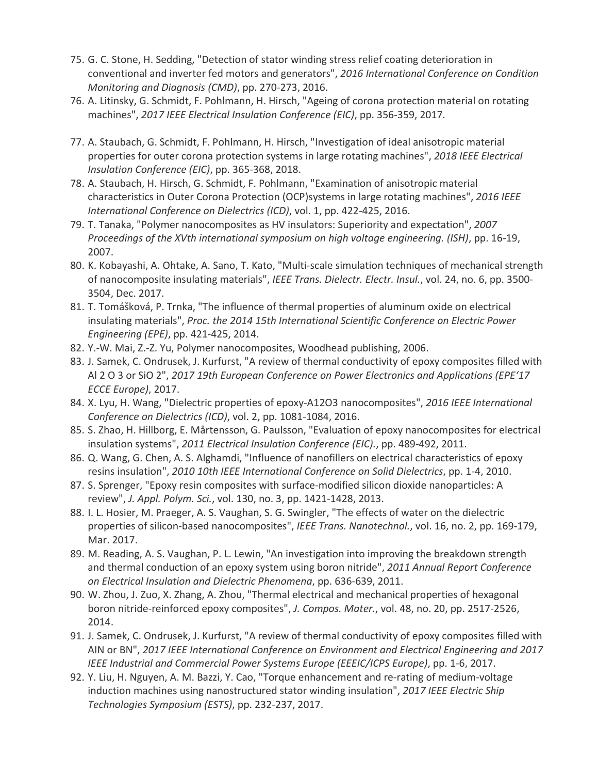- 75. G. C. Stone, H. Sedding, "Detection of stator winding stress relief coating deterioration in conventional and inverter fed motors and generators", *2016 International Conference on Condition Monitoring and Diagnosis (CMD)*, pp. 270-273, 2016.
- 76. A. Litinsky, G. Schmidt, F. Pohlmann, H. Hirsch, "Ageing of corona protection material on rotating machines", *2017 IEEE Electrical Insulation Conference (EIC)*, pp. 356-359, 2017.
- 77. A. Staubach, G. Schmidt, F. Pohlmann, H. Hirsch, "Investigation of ideal anisotropic material properties for outer corona protection systems in large rotating machines", *2018 IEEE Electrical Insulation Conference (EIC)*, pp. 365-368, 2018.
- 78. A. Staubach, H. Hirsch, G. Schmidt, F. Pohlmann, "Examination of anisotropic material characteristics in Outer Corona Protection (OCP)systems in large rotating machines", *2016 IEEE International Conference on Dielectrics (ICD)*, vol. 1, pp. 422-425, 2016.
- 79. T. Tanaka, "Polymer nanocomposites as HV insulators: Superiority and expectation", *2007 Proceedings of the XVth international symposium on high voltage engineering. (ISH)*, pp. 16-19, 2007.
- 80. K. Kobayashi, A. Ohtake, A. Sano, T. Kato, "Multi-scale simulation techniques of mechanical strength of nanocomposite insulating materials", *IEEE Trans. Dielectr. Electr. Insul.*, vol. 24, no. 6, pp. 3500- 3504, Dec. 2017.
- 81. T. Tomášková, P. Trnka, "The influence of thermal properties of aluminum oxide on electrical insulating materials", *Proc. the 2014 15th International Scientific Conference on Electric Power Engineering (EPE)*, pp. 421-425, 2014.
- 82. Y.-W. Mai, Z.-Z. Yu, Polymer nanocomposites, Woodhead publishing, 2006.
- 83. J. Samek, C. Ondrusek, J. Kurfurst, "A review of thermal conductivity of epoxy composites filled with Al 2 O 3 or SiO 2", *2017 19th European Conference on Power Electronics and Applications (EPE'17 ECCE Europe)*, 2017.
- 84. X. Lyu, H. Wang, "Dielectric properties of epoxy-A12O3 nanocomposites", *2016 IEEE International Conference on Dielectrics (ICD)*, vol. 2, pp. 1081-1084, 2016.
- 85. S. Zhao, H. Hillborg, E. Mårtensson, G. Paulsson, "Evaluation of epoxy nanocomposites for electrical insulation systems", *2011 Electrical Insulation Conference (EIC).*, pp. 489-492, 2011.
- 86. Q. Wang, G. Chen, A. S. Alghamdi, "Influence of nanofillers on electrical characteristics of epoxy resins insulation", *2010 10th IEEE International Conference on Solid Dielectrics*, pp. 1-4, 2010.
- 87. S. Sprenger, "Epoxy resin composites with surface-modified silicon dioxide nanoparticles: A review", *J. Appl. Polym. Sci.*, vol. 130, no. 3, pp. 1421-1428, 2013.
- 88. I. L. Hosier, M. Praeger, A. S. Vaughan, S. G. Swingler, "The effects of water on the dielectric properties of silicon-based nanocomposites", *IEEE Trans. Nanotechnol.*, vol. 16, no. 2, pp. 169-179, Mar. 2017.
- 89. M. Reading, A. S. Vaughan, P. L. Lewin, "An investigation into improving the breakdown strength and thermal conduction of an epoxy system using boron nitride", *2011 Annual Report Conference on Electrical Insulation and Dielectric Phenomena*, pp. 636-639, 2011.
- 90. W. Zhou, J. Zuo, X. Zhang, A. Zhou, "Thermal electrical and mechanical properties of hexagonal boron nitride-reinforced epoxy composites", *J. Compos. Mater.*, vol. 48, no. 20, pp. 2517-2526, 2014.
- 91. J. Samek, C. Ondrusek, J. Kurfurst, "A review of thermal conductivity of epoxy composites filled with AIN or BN", *2017 IEEE International Conference on Environment and Electrical Engineering and 2017 IEEE Industrial and Commercial Power Systems Europe (EEEIC/ICPS Europe)*, pp. 1-6, 2017.
- 92. Y. Liu, H. Nguyen, A. M. Bazzi, Y. Cao, "Torque enhancement and re-rating of medium-voltage induction machines using nanostructured stator winding insulation", *2017 IEEE Electric Ship Technologies Symposium (ESTS)*, pp. 232-237, 2017.